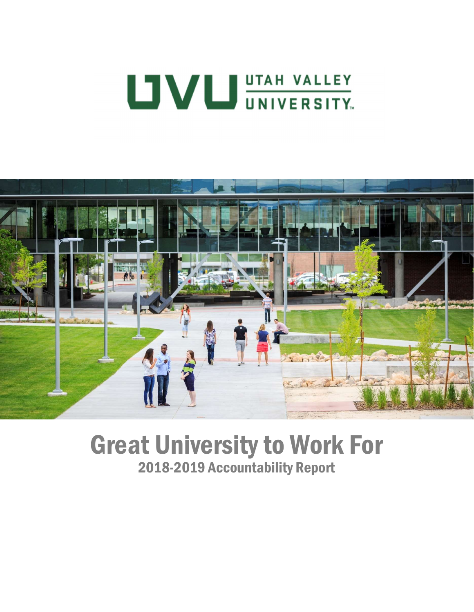# **UVU UNIVERSITY.**



# Great University to Work For 2018-2019 Accountability Report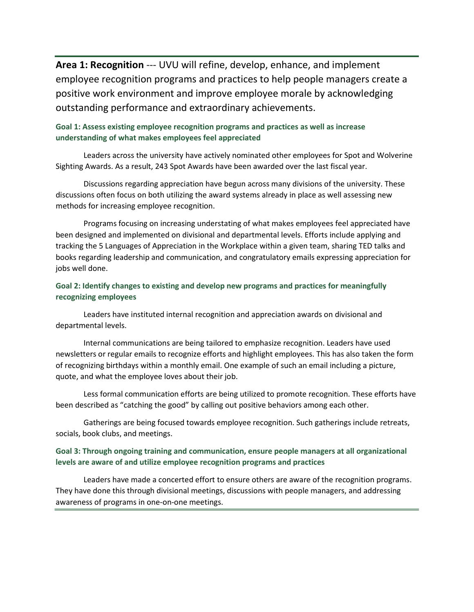Area 1: Recognition --- UVU will refine, develop, enhance, and implement employee recognition programs and practices to help people managers create a positive work environment and improve employee morale by acknowledging outstanding performance and extraordinary achievements.

## Goal 1: Assess existing employee recognition programs and practices as well as increase understanding of what makes employees feel appreciated

Leaders across the university have actively nominated other employees for Spot and Wolverine Sighting Awards. As a result, 243 Spot Awards have been awarded over the last fiscal year.

Discussions regarding appreciation have begun across many divisions of the university. These discussions often focus on both utilizing the award systems already in place as well assessing new methods for increasing employee recognition.

Programs focusing on increasing understating of what makes employees feel appreciated have been designed and implemented on divisional and departmental levels. Efforts include applying and tracking the 5 Languages of Appreciation in the Workplace within a given team, sharing TED talks and books regarding leadership and communication, and congratulatory emails expressing appreciation for jobs well done.

#### Goal 2: Identify changes to existing and develop new programs and practices for meaningfully recognizing employees

Leaders have instituted internal recognition and appreciation awards on divisional and departmental levels.

Internal communications are being tailored to emphasize recognition. Leaders have used newsletters or regular emails to recognize efforts and highlight employees. This has also taken the form of recognizing birthdays within a monthly email. One example of such an email including a picture, quote, and what the employee loves about their job.

Less formal communication efforts are being utilized to promote recognition. These efforts have been described as "catching the good" by calling out positive behaviors among each other.

Gatherings are being focused towards employee recognition. Such gatherings include retreats, socials, book clubs, and meetings.

#### Goal 3: Through ongoing training and communication, ensure people managers at all organizational levels are aware of and utilize employee recognition programs and practices

Leaders have made a concerted effort to ensure others are aware of the recognition programs. They have done this through divisional meetings, discussions with people managers, and addressing awareness of programs in one-on-one meetings.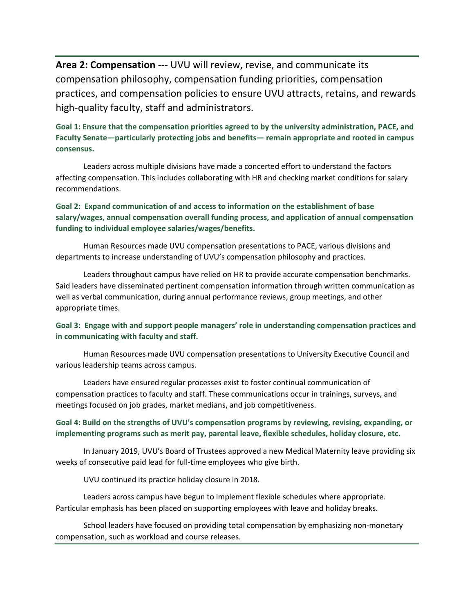Area 2: Compensation --- UVU will review, revise, and communicate its compensation philosophy, compensation funding priorities, compensation practices, and compensation policies to ensure UVU attracts, retains, and rewards high-quality faculty, staff and administrators.

Goal 1: Ensure that the compensation priorities agreed to by the university administration, PACE, and Faculty Senate—particularly protecting jobs and benefits— remain appropriate and rooted in campus consensus.

Leaders across multiple divisions have made a concerted effort to understand the factors affecting compensation. This includes collaborating with HR and checking market conditions for salary recommendations.

Goal 2: Expand communication of and access to information on the establishment of base salary/wages, annual compensation overall funding process, and application of annual compensation funding to individual employee salaries/wages/benefits.

Human Resources made UVU compensation presentations to PACE, various divisions and departments to increase understanding of UVU's compensation philosophy and practices.

Leaders throughout campus have relied on HR to provide accurate compensation benchmarks. Said leaders have disseminated pertinent compensation information through written communication as well as verbal communication, during annual performance reviews, group meetings, and other appropriate times.

Goal 3: Engage with and support people managers' role in understanding compensation practices and in communicating with faculty and staff.

Human Resources made UVU compensation presentations to University Executive Council and various leadership teams across campus.

Leaders have ensured regular processes exist to foster continual communication of compensation practices to faculty and staff. These communications occur in trainings, surveys, and meetings focused on job grades, market medians, and job competitiveness.

#### Goal 4: Build on the strengths of UVU's compensation programs by reviewing, revising, expanding, or implementing programs such as merit pay, parental leave, flexible schedules, holiday closure, etc.

In January 2019, UVU's Board of Trustees approved a new Medical Maternity leave providing six weeks of consecutive paid lead for full-time employees who give birth.

UVU continued its practice holiday closure in 2018.

Leaders across campus have begun to implement flexible schedules where appropriate. Particular emphasis has been placed on supporting employees with leave and holiday breaks.

School leaders have focused on providing total compensation by emphasizing non-monetary compensation, such as workload and course releases.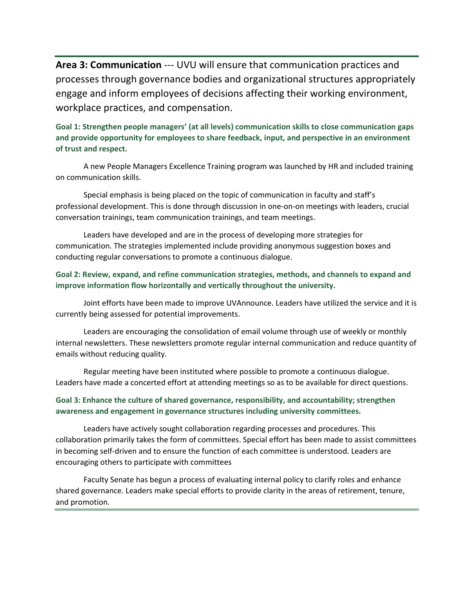Area 3: Communication --- UVU will ensure that communication practices and processes through governance bodies and organizational structures appropriately engage and inform employees of decisions affecting their working environment, workplace practices, and compensation.

Goal 1: Strengthen people managers' (at all levels) communication skills to close communication gaps and provide opportunity for employees to share feedback, input, and perspective in an environment of trust and respect.

A new People Managers Excellence Training program was launched by HR and included training on communication skills.

Special emphasis is being placed on the topic of communication in faculty and staff's professional development. This is done through discussion in one-on-on meetings with leaders, crucial conversation trainings, team communication trainings, and team meetings.

Leaders have developed and are in the process of developing more strategies for communication. The strategies implemented include providing anonymous suggestion boxes and conducting regular conversations to promote a continuous dialogue.

## Goal 2: Review, expand, and refine communication strategies, methods, and channels to expand and improve information flow horizontally and vertically throughout the university.

Joint efforts have been made to improve UVAnnounce. Leaders have utilized the service and it is currently being assessed for potential improvements.

Leaders are encouraging the consolidation of email volume through use of weekly or monthly internal newsletters. These newsletters promote regular internal communication and reduce quantity of emails without reducing quality.

Regular meeting have been instituted where possible to promote a continuous dialogue. Leaders have made a concerted effort at attending meetings so as to be available for direct questions.

#### Goal 3: Enhance the culture of shared governance, responsibility, and accountability; strengthen awareness and engagement in governance structures including university committees.

Leaders have actively sought collaboration regarding processes and procedures. This collaboration primarily takes the form of committees. Special effort has been made to assist committees in becoming self-driven and to ensure the function of each committee is understood. Leaders are encouraging others to participate with committees

Faculty Senate has begun a process of evaluating internal policy to clarify roles and enhance shared governance. Leaders make special efforts to provide clarity in the areas of retirement, tenure, and promotion.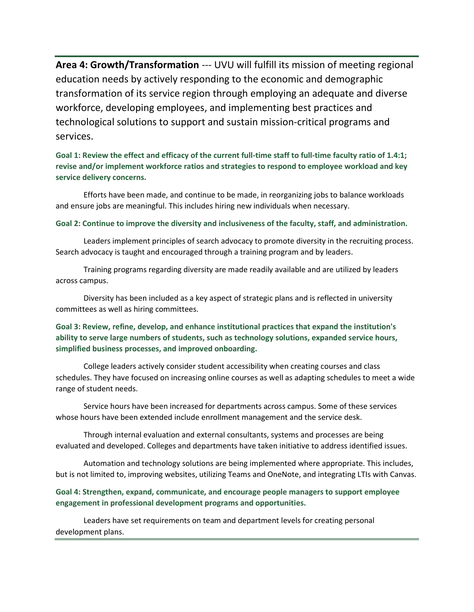Area 4: Growth/Transformation --- UVU will fulfill its mission of meeting regional education needs by actively responding to the economic and demographic transformation of its service region through employing an adequate and diverse workforce, developing employees, and implementing best practices and technological solutions to support and sustain mission-critical programs and services.

Goal 1: Review the effect and efficacy of the current full-time staff to full-time faculty ratio of 1.4:1; revise and/or implement workforce ratios and strategies to respond to employee workload and key service delivery concerns.

Efforts have been made, and continue to be made, in reorganizing jobs to balance workloads and ensure jobs are meaningful. This includes hiring new individuals when necessary.

Goal 2: Continue to improve the diversity and inclusiveness of the faculty, staff, and administration.

Leaders implement principles of search advocacy to promote diversity in the recruiting process. Search advocacy is taught and encouraged through a training program and by leaders.

Training programs regarding diversity are made readily available and are utilized by leaders across campus.

Diversity has been included as a key aspect of strategic plans and is reflected in university committees as well as hiring committees.

# Goal 3: Review, refine, develop, and enhance institutional practices that expand the institution's ability to serve large numbers of students, such as technology solutions, expanded service hours, simplified business processes, and improved onboarding.

College leaders actively consider student accessibility when creating courses and class schedules. They have focused on increasing online courses as well as adapting schedules to meet a wide range of student needs.

Service hours have been increased for departments across campus. Some of these services whose hours have been extended include enrollment management and the service desk.

Through internal evaluation and external consultants, systems and processes are being evaluated and developed. Colleges and departments have taken initiative to address identified issues.

Automation and technology solutions are being implemented where appropriate. This includes, but is not limited to, improving websites, utilizing Teams and OneNote, and integrating LTIs with Canvas.

# Goal 4: Strengthen, expand, communicate, and encourage people managers to support employee engagement in professional development programs and opportunities.

Leaders have set requirements on team and department levels for creating personal development plans.